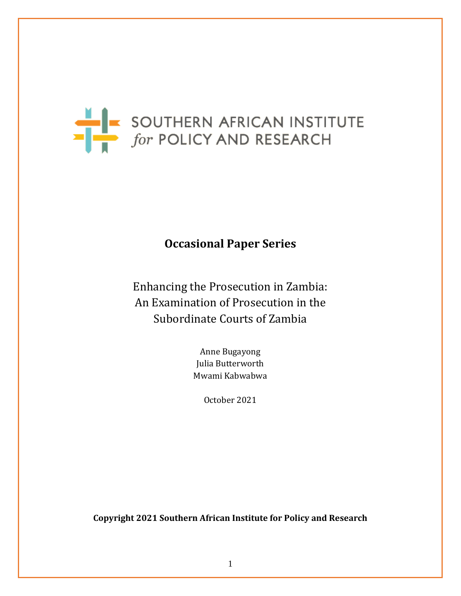

# **Occasional Paper Series**

Enhancing the Prosecution in Zambia: An Examination of Prosecution in the Subordinate Courts of Zambia

> Anne Bugayong Julia Butterworth Mwami Kabwabwa

> > October 2021

**Copyright 2021 Southern African Institute for Policy and Research**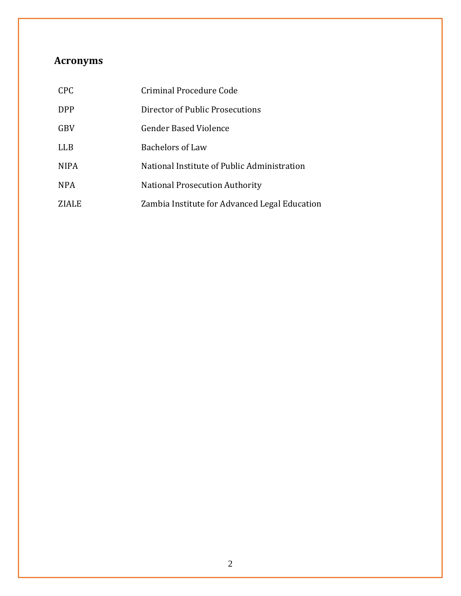# **Acronyms**

| <b>CPC</b>  | Criminal Procedure Code                       |
|-------------|-----------------------------------------------|
| <b>DPP</b>  | Director of Public Prosecutions               |
| <b>GBV</b>  | <b>Gender Based Violence</b>                  |
| LLB         | <b>Bachelors of Law</b>                       |
| <b>NIPA</b> | National Institute of Public Administration   |
| <b>NPA</b>  | <b>National Prosecution Authority</b>         |
| ZIALE       | Zambia Institute for Advanced Legal Education |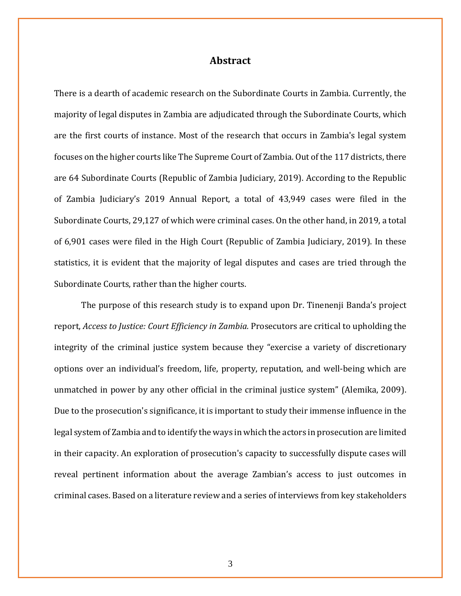# **Abstract**

There is a dearth of academic research on the Subordinate Courts in Zambia. Currently, the majority of legal disputes in Zambia are adjudicated through the Subordinate Courts, which are the first courts of instance. Most of the research that occurs in Zambia's legal system focuses on the higher courts like The Supreme Court of Zambia. Out of the 117 districts, there are 64 Subordinate Courts (Republic of Zambia Judiciary, 2019). According to the Republic of Zambia Judiciary's 2019 Annual Report, a total of 43,949 cases were filed in the Subordinate Courts, 29,127 of which were criminal cases. On the other hand, in 2019, a total of 6,901 cases were filed in the High Court (Republic of Zambia Judiciary, 2019). In these statistics, it is evident that the majority of legal disputes and cases are tried through the Subordinate Courts, rather than the higher courts.

The purpose of this research study is to expand upon Dr. Tinenenji Banda's project report, *Access to Justice: Court Efficiency in Zambia.* Prosecutors are critical to upholding the integrity of the criminal justice system because they "exercise a variety of discretionary options over an individual's freedom, life, property, reputation, and well-being which are unmatched in power by any other official in the criminal justice system" (Alemika, 2009). Due to the prosecution's significance, it is important to study their immense influence in the legal system of Zambia and to identify the ways in which the actors in prosecution are limited in their capacity. An exploration of prosecution's capacity to successfully dispute cases will reveal pertinent information about the average Zambian's access to just outcomes in criminal cases. Based on a literature review and a series of interviews from key stakeholders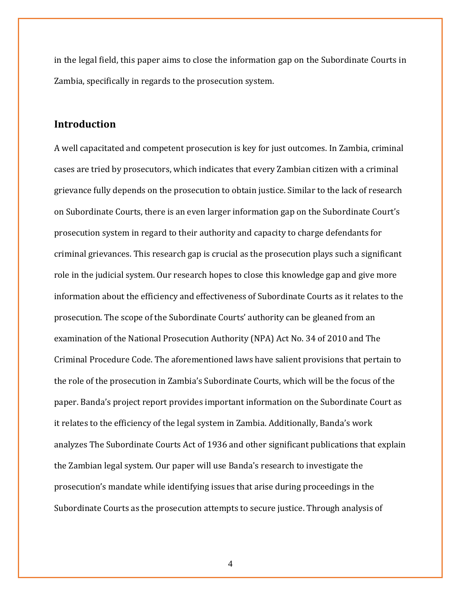in the legal field, this paper aims to close the information gap on the Subordinate Courts in Zambia, specifically in regards to the prosecution system.

# **Introduction**

A well capacitated and competent prosecution is key for just outcomes. In Zambia, criminal cases are tried by prosecutors, which indicates that every Zambian citizen with a criminal grievance fully depends on the prosecution to obtain justice. Similar to the lack of research on Subordinate Courts, there is an even larger information gap on the Subordinate Court's prosecution system in regard to their authority and capacity to charge defendants for criminal grievances. This research gap is crucial as the prosecution plays such a significant role in the judicial system. Our research hopes to close this knowledge gap and give more information about the efficiency and effectiveness of Subordinate Courts as it relates to the prosecution. The scope of the Subordinate Courts' authority can be gleaned from an examination of the National Prosecution Authority (NPA) Act No. 34 of 2010 and The Criminal Procedure Code. The aforementioned laws have salient provisions that pertain to the role of the prosecution in Zambia's Subordinate Courts, which will be the focus of the paper. Banda's project report provides important information on the Subordinate Court as it relates to the efficiency of the legal system in Zambia. Additionally, Banda's work analyzes The Subordinate Courts Act of 1936 and other significant publications that explain the Zambian legal system. Our paper will use Banda's research to investigate the prosecution's mandate while identifying issues that arise during proceedings in the Subordinate Courts as the prosecution attempts to secure justice. Through analysis of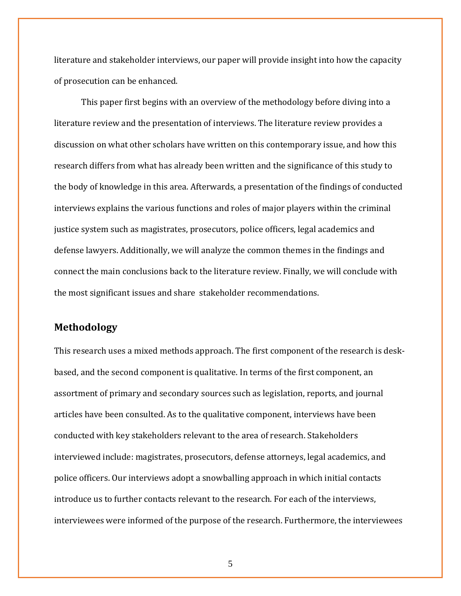literature and stakeholder interviews, our paper will provide insight into how the capacity of prosecution can be enhanced.

This paper first begins with an overview of the methodology before diving into a literature review and the presentation of interviews. The literature review provides a discussion on what other scholars have written on this contemporary issue, and how this research differs from what has already been written and the significance of this study to the body of knowledge in this area. Afterwards, a presentation of the findings of conducted interviews explains the various functions and roles of major players within the criminal justice system such as magistrates, prosecutors, police officers, legal academics and defense lawyers. Additionally, we will analyze the common themes in the findings and connect the main conclusions back to the literature review. Finally, we will conclude with the most significant issues and share stakeholder recommendations.

# **Methodology**

This research uses a mixed methods approach. The first component of the research is deskbased, and the second component is qualitative. In terms of the first component, an assortment of primary and secondary sources such as legislation, reports, and journal articles have been consulted. As to the qualitative component, interviews have been conducted with key stakeholders relevant to the area of research. Stakeholders interviewed include: magistrates, prosecutors, defense attorneys, legal academics, and police officers. Our interviews adopt a snowballing approach in which initial contacts introduce us to further contacts relevant to the research. For each of the interviews, interviewees were informed of the purpose of the research. Furthermore, the interviewees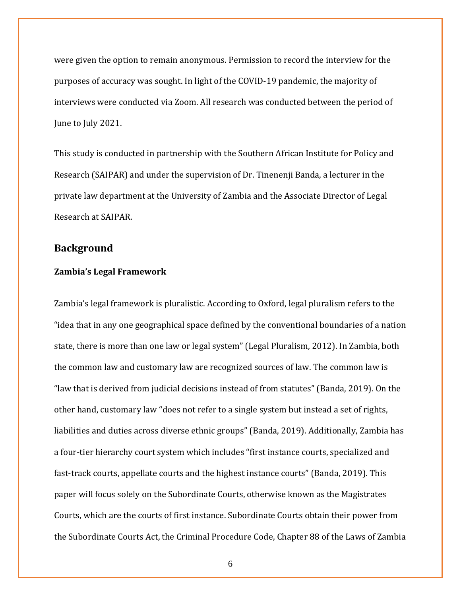were given the option to remain anonymous. Permission to record the interview for the purposes of accuracy was sought. In light of the COVID-19 pandemic, the majority of interviews were conducted via Zoom. All research was conducted between the period of June to July 2021.

This study is conducted in partnership with the Southern African Institute for Policy and Research (SAIPAR) and under the supervision of Dr. Tinenenji Banda, a lecturer in the private law department at the University of Zambia and the Associate Director of Legal Research at SAIPAR.

# **Background**

#### **Zambia's Legal Framework**

Zambia's legal framework is pluralistic. According to Oxford, legal pluralism refers to the "idea that in any one geographical space defined by the conventional boundaries of a nation state, there is more than one law or legal system" (Legal Pluralism, 2012). In Zambia, both the common law and customary law are recognized sources of law. The common law is "law that is derived from judicial decisions instead of from statutes" (Banda, 2019). On the other hand, customary law "does not refer to a single system but instead a set of rights, liabilities and duties across diverse ethnic groups" (Banda, 2019). Additionally, Zambia has a four-tier hierarchy court system which includes "first instance courts, specialized and fast-track courts, appellate courts and the highest instance courts" (Banda, 2019). This paper will focus solely on the Subordinate Courts, otherwise known as the Magistrates Courts, which are the courts of first instance. Subordinate Courts obtain their power from the Subordinate Courts Act, the Criminal Procedure Code, Chapter 88 of the Laws of Zambia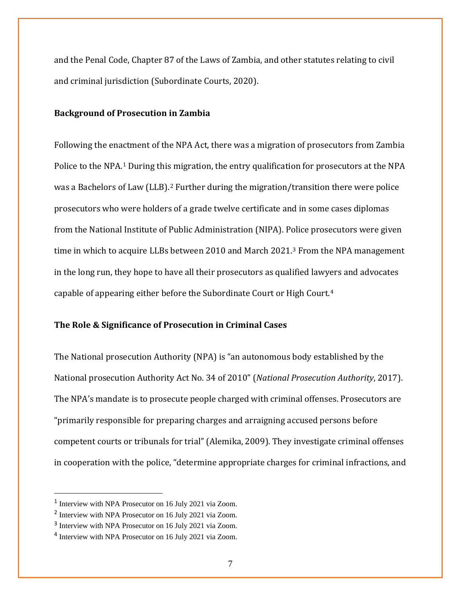and the Penal Code, Chapter 87 of the Laws of Zambia, and other statutes relating to civil and criminal jurisdiction (Subordinate Courts, 2020).

## **Background of Prosecution in Zambia**

Following the enactment of the NPA Act, there was a migration of prosecutors from Zambia Police to the NPA.<sup>[1](#page-6-0)</sup> During this migration, the entry qualification for prosecutors at the NPA was a Bachelors of Law (LLB).<sup>[2](#page-6-1)</sup> Further during the migration/transition there were police prosecutors who were holders of a grade twelve certificate and in some cases diplomas from the National Institute of Public Administration (NIPA). Police prosecutors were given time in which to acquire LLBs between 2010 and March 2021.[3](#page-6-2) From the NPA management in the long run, they hope to have all their prosecutors as qualified lawyers and advocates capable of appearing either before the Subordinate Court or High Court.[4](#page-6-3)

## **The Role & Significance of Prosecution in Criminal Cases**

The National prosecution Authority (NPA) is "an autonomous body established by the National prosecution Authority Act No. 34 of 2010" (*National Prosecution Authority*, 2017). The NPA's mandate is to prosecute people charged with criminal offenses. Prosecutors are "primarily responsible for preparing charges and arraigning accused persons before competent courts or tribunals for trial" (Alemika, 2009). They investigate criminal offenses in cooperation with the police, "determine appropriate charges for criminal infractions, and

<span id="page-6-0"></span><sup>1</sup> Interview with NPA Prosecutor on 16 July 2021 via Zoom.

<span id="page-6-1"></span><sup>2</sup> Interview with NPA Prosecutor on 16 July 2021 via Zoom.

<span id="page-6-2"></span><sup>3</sup> Interview with NPA Prosecutor on 16 July 2021 via Zoom.

<span id="page-6-3"></span><sup>4</sup> Interview with NPA Prosecutor on 16 July 2021 via Zoom.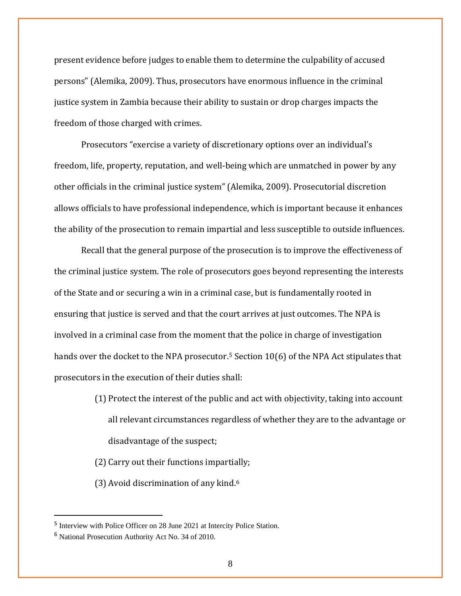present evidence before judges to enable them to determine the culpability of accused persons" (Alemika, 2009). Thus, prosecutors have enormous influence in the criminal justice system in Zambia because their ability to sustain or drop charges impacts the freedom of those charged with crimes.

Prosecutors "exercise a variety of discretionary options over an individual's freedom, life, property, reputation, and well-being which are unmatched in power by any other officials in the criminal justice system" (Alemika, 2009). Prosecutorial discretion allows officials to have professional independence, which is important because it enhances the ability of the prosecution to remain impartial and less susceptible to outside influences.

Recall that the general purpose of the prosecution is to improve the effectiveness of the criminal justice system. The role of prosecutors goes beyond representing the interests of the State and or securing a win in a criminal case, but is fundamentally rooted in ensuring that justice is served and that the court arrives at just outcomes. The NPA is involved in a criminal case from the moment that the police in charge of investigation hands over the docket to the NPA prosecutor.<sup>5</sup> Section 10(6) of the NPA Act stipulates that prosecutors in the execution of their duties shall:

- (1) Protect the interest of the public and act with objectivity, taking into account all relevant circumstances regardless of whether they are to the advantage or disadvantage of the suspect;
- (2) Carry out their functions impartially;
- (3) Avoid discrimination of any kind.[6](#page-7-1)

<span id="page-7-0"></span><sup>5</sup> Interview with Police Officer on 28 June 2021 at Intercity Police Station.

<span id="page-7-1"></span><sup>6</sup> National Prosecution Authority Act No. 34 of 2010.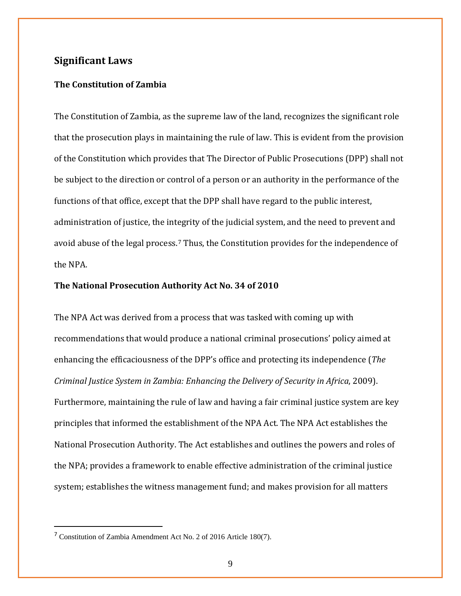# **Significant Laws**

## **The Constitution of Zambia**

The Constitution of Zambia, as the supreme law of the land, recognizes the significant role that the prosecution plays in maintaining the rule of law. This is evident from the provision of the Constitution which provides that The Director of Public Prosecutions (DPP) shall not be subject to the direction or control of a person or an authority in the performance of the functions of that office, except that the DPP shall have regard to the public interest, administration of justice, the integrity of the judicial system, and the need to prevent and avoid abuse of the legal process.[7](#page-8-0) Thus, the Constitution provides for the independence of the NPA.

### **The National Prosecution Authority Act No. 34 of 2010**

The NPA Act was derived from a process that was tasked with coming up with recommendations that would produce a national criminal prosecutions' policy aimed at enhancing the efficaciousness of the DPP's office and protecting its independence (*The Criminal Justice System in Zambia: Enhancing the Delivery of Security in Africa*, 2009). Furthermore, maintaining the rule of law and having a fair criminal justice system are key principles that informed the establishment of the NPA Act. The NPA Act establishes the National Prosecution Authority. The Act establishes and outlines the powers and roles of the NPA; provides a framework to enable effective administration of the criminal justice system; establishes the witness management fund; and makes provision for all matters

<span id="page-8-0"></span><sup>7</sup> Constitution of Zambia Amendment Act No. 2 of 2016 Article 180(7).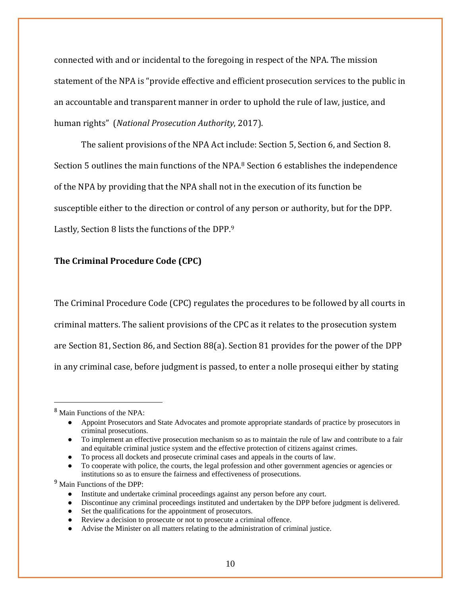connected with and or incidental to the foregoing in respect of the NPA. The mission statement of the NPA is "provide effective and efficient prosecution services to the public in an accountable and transparent manner in order to uphold the rule of law, justice, and human rights" (*National Prosecution Authority*, 2017).

The salient provisions of the NPA Act include: Section 5, Section 6, and Section 8. Section 5 outlines the main functions of the NPA.<sup>[8](#page-9-0)</sup> Section 6 establishes the independence of the NPA by providing that the NPA shall not in the execution of its function be susceptible either to the direction or control of any person or authority, but for the DPP. Lastly, Section 8 lists the functions of the DPP.[9](#page-9-1)

# **The Criminal Procedure Code (CPC)**

The Criminal Procedure Code (CPC) regulates the procedures to be followed by all courts in criminal matters. The salient provisions of the CPC as it relates to the prosecution system are Section 81, Section 86, and Section 88(a). Section 81 provides for the power of the DPP in any criminal case, before judgment is passed, to enter a nolle prosequi either by stating

<span id="page-9-0"></span><sup>8</sup> Main Functions of the NPA:

<sup>●</sup> Appoint Prosecutors and State Advocates and promote appropriate standards of practice by prosecutors in criminal prosecutions.

<sup>●</sup> To implement an effective prosecution mechanism so as to maintain the rule of law and contribute to a fair and equitable criminal justice system and the effective protection of citizens against crimes.

To process all dockets and prosecute criminal cases and appeals in the courts of law.

To cooperate with police, the courts, the legal profession and other government agencies or agencies or institutions so as to ensure the fairness and effectiveness of prosecutions.

<span id="page-9-1"></span><sup>9</sup> Main Functions of the DPP:

<sup>●</sup> Institute and undertake criminal proceedings against any person before any court.

<sup>●</sup> Discontinue any criminal proceedings instituted and undertaken by the DPP before judgment is delivered.

<sup>•</sup> Set the qualifications for the appointment of prosecutors.

<sup>●</sup> Review a decision to prosecute or not to prosecute a criminal offence.

<sup>●</sup> Advise the Minister on all matters relating to the administration of criminal justice.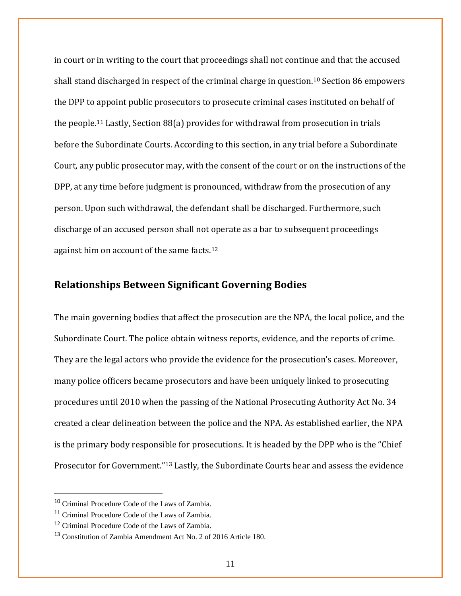in court or in writing to the court that proceedings shall not continue and that the accused shall stand discharged in respect of the criminal charge in question.[10](#page-10-0) Section 86 empowers the DPP to appoint public prosecutors to prosecute criminal cases instituted on behalf of the people.[11](#page-10-1) Lastly, Section 88(a) provides for withdrawal from prosecution in trials before the Subordinate Courts. According to this section, in any trial before a Subordinate Court, any public prosecutor may, with the consent of the court or on the instructions of the DPP, at any time before judgment is pronounced, withdraw from the prosecution of any person. Upon such withdrawal, the defendant shall be discharged. Furthermore, such discharge of an accused person shall not operate as a bar to subsequent proceedings against him on account of the same facts.[12](#page-10-2)

## **Relationships Between Significant Governing Bodies**

The main governing bodies that affect the prosecution are the NPA, the local police, and the Subordinate Court. The police obtain witness reports, evidence, and the reports of crime. They are the legal actors who provide the evidence for the prosecution's cases. Moreover, many police officers became prosecutors and have been uniquely linked to prosecuting procedures until 2010 when the passing of the National Prosecuting Authority Act No. 34 created a clear delineation between the police and the NPA. As established earlier, the NPA is the primary body responsible for prosecutions. It is headed by the DPP who is the "Chief Prosecutor for Government."[13](#page-10-3) Lastly, the Subordinate Courts hear and assess the evidence

<span id="page-10-0"></span><sup>10</sup> Criminal Procedure Code of the Laws of Zambia.

<span id="page-10-1"></span><sup>&</sup>lt;sup>11</sup> Criminal Procedure Code of the Laws of Zambia.

<span id="page-10-2"></span><sup>12</sup> Criminal Procedure Code of the Laws of Zambia.

<span id="page-10-3"></span><sup>13</sup> Constitution of Zambia Amendment Act No. 2 of 2016 Article 180.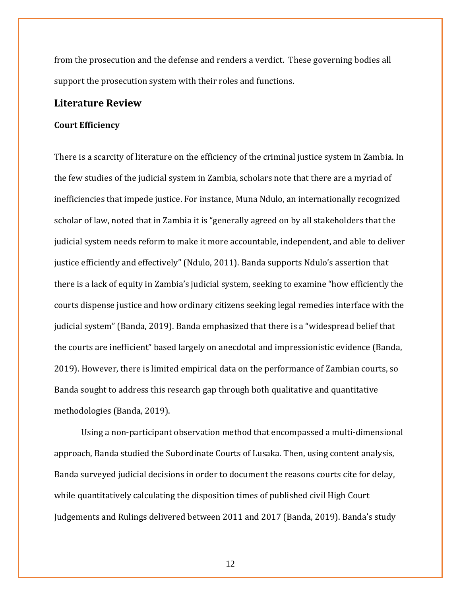from the prosecution and the defense and renders a verdict. These governing bodies all support the prosecution system with their roles and functions.

## **Literature Review**

#### **Court Efficiency**

There is a scarcity of literature on the efficiency of the criminal justice system in Zambia. In the few studies of the judicial system in Zambia, scholars note that there are a myriad of inefficiencies that impede justice. For instance, Muna Ndulo, an internationally recognized scholar of law, noted that in Zambia it is "generally agreed on by all stakeholders that the judicial system needs reform to make it more accountable, independent, and able to deliver justice efficiently and effectively" (Ndulo, 2011). Banda supports Ndulo's assertion that there is a lack of equity in Zambia's judicial system, seeking to examine "how efficiently the courts dispense justice and how ordinary citizens seeking legal remedies interface with the judicial system" (Banda, 2019). Banda emphasized that there is a "widespread belief that the courts are inefficient" based largely on anecdotal and impressionistic evidence (Banda, 2019). However, there is limited empirical data on the performance of Zambian courts, so Banda sought to address this research gap through both qualitative and quantitative methodologies (Banda, 2019).

Using a non-participant observation method that encompassed a multi-dimensional approach, Banda studied the Subordinate Courts of Lusaka. Then, using content analysis, Banda surveyed judicial decisions in order to document the reasons courts cite for delay, while quantitatively calculating the disposition times of published civil High Court Judgements and Rulings delivered between 2011 and 2017 (Banda, 2019). Banda's study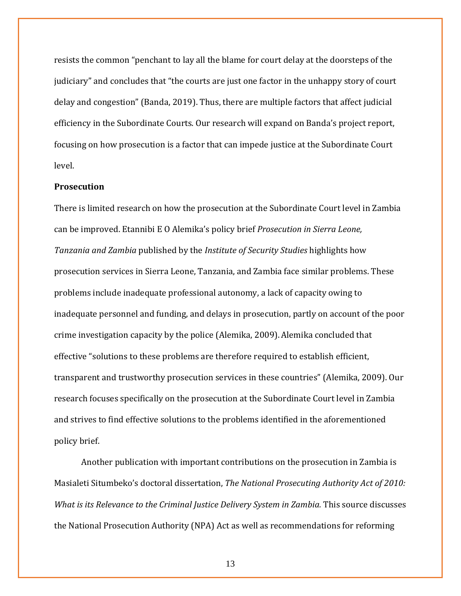resists the common "penchant to lay all the blame for court delay at the doorsteps of the judiciary" and concludes that "the courts are just one factor in the unhappy story of court delay and congestion" (Banda, 2019). Thus, there are multiple factors that affect judicial efficiency in the Subordinate Courts. Our research will expand on Banda's project report, focusing on how prosecution is a factor that can impede justice at the Subordinate Court level.

### **Prosecution**

There is limited research on how the prosecution at the Subordinate Court level in Zambia can be improved. Etannibi E O Alemika's policy brief *Prosecution in Sierra Leone, Tanzania and Zambia* published by the *Institute of Security Studies* highlights how prosecution services in Sierra Leone, Tanzania, and Zambia face similar problems. These problems include inadequate professional autonomy, a lack of capacity owing to inadequate personnel and funding, and delays in prosecution, partly on account of the poor crime investigation capacity by the police (Alemika, 2009). Alemika concluded that effective "solutions to these problems are therefore required to establish efficient, transparent and trustworthy prosecution services in these countries" (Alemika, 2009). Our research focuses specifically on the prosecution at the Subordinate Court level in Zambia and strives to find effective solutions to the problems identified in the aforementioned policy brief.

Another publication with important contributions on the prosecution in Zambia is Masialeti Situmbeko's doctoral dissertation, *The National Prosecuting Authority Act of 2010: What is its Relevance to the Criminal Justice Delivery System in Zambia. This source discusses* the National Prosecution Authority (NPA) Act as well as recommendations for reforming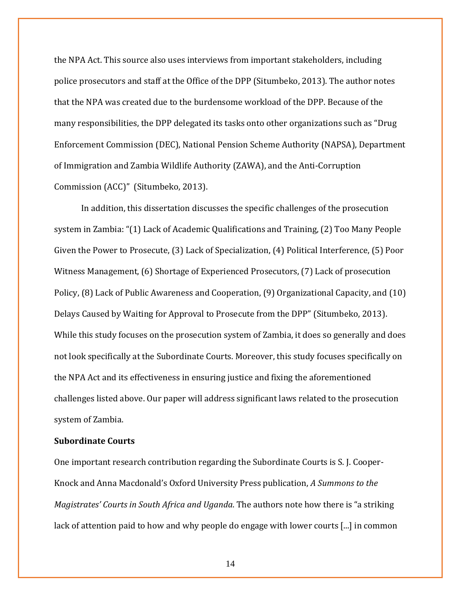the NPA Act. This source also uses interviews from important stakeholders, including police prosecutors and staff at the Office of the DPP (Situmbeko, 2013). The author notes that the NPA was created due to the burdensome workload of the DPP. Because of the many responsibilities, the DPP delegated its tasks onto other organizations such as "Drug Enforcement Commission (DEC), National Pension Scheme Authority (NAPSA), Department of Immigration and Zambia Wildlife Authority (ZAWA), and the Anti-Corruption Commission (ACC)" (Situmbeko, 2013).

In addition, this dissertation discusses the specific challenges of the prosecution system in Zambia: "(1) Lack of Academic Qualifications and Training, (2) Too Many People Given the Power to Prosecute, (3) Lack of Specialization, (4) Political Interference, (5) Poor Witness Management, (6) Shortage of Experienced Prosecutors, (7) Lack of prosecution Policy, (8) Lack of Public Awareness and Cooperation, (9) Organizational Capacity, and (10) Delays Caused by Waiting for Approval to Prosecute from the DPP" (Situmbeko, 2013). While this study focuses on the prosecution system of Zambia, it does so generally and does not look specifically at the Subordinate Courts. Moreover, this study focuses specifically on the NPA Act and its effectiveness in ensuring justice and fixing the aforementioned challenges listed above. Our paper will address significant laws related to the prosecution system of Zambia.

# **Subordinate Courts**

One important research contribution regarding the Subordinate Courts is S. J. Cooper-Knock and Anna Macdonald's Oxford University Press publication, *A Summons to the Magistrates' Courts in South Africa and Uganda*. The authors note how there is "a striking lack of attention paid to how and why people do engage with lower courts [...] in common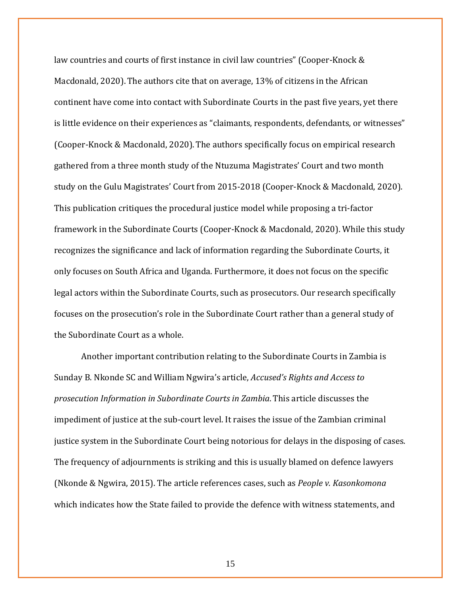law countries and courts of first instance in civil law countries" (Cooper-Knock & Macdonald, 2020).The authors cite that on average, 13% of citizens in the African continent have come into contact with Subordinate Courts in the past five years, yet there is little evidence on their experiences as "claimants, respondents, defendants, or witnesses" (Cooper-Knock & Macdonald, 2020).The authors specifically focus on empirical research gathered from a three month study of the Ntuzuma Magistrates' Court and two month study on the Gulu Magistrates' Court from 2015-2018 (Cooper-Knock & Macdonald, 2020). This publication critiques the procedural justice model while proposing a tri-factor framework in the Subordinate Courts (Cooper-Knock & Macdonald, 2020). While this study recognizes the significance and lack of information regarding the Subordinate Courts, it only focuses on South Africa and Uganda. Furthermore, it does not focus on the specific legal actors within the Subordinate Courts, such as prosecutors. Our research specifically focuses on the prosecution's role in the Subordinate Court rather than a general study of the Subordinate Court as a whole.

Another important contribution relating to the Subordinate Courts in Zambia is Sunday B. Nkonde SC and William Ngwira's article, *Accused's Rights and Access to prosecution Information in Subordinate Courts in Zambia*. This article discusses the impediment of justice at the sub-court level. It raises the issue of the Zambian criminal justice system in the Subordinate Court being notorious for delays in the disposing of cases. The frequency of adjournments is striking and this is usually blamed on defence lawyers (Nkonde & Ngwira, 2015). The article references cases, such as *People v. Kasonkomona* which indicates how the State failed to provide the defence with witness statements, and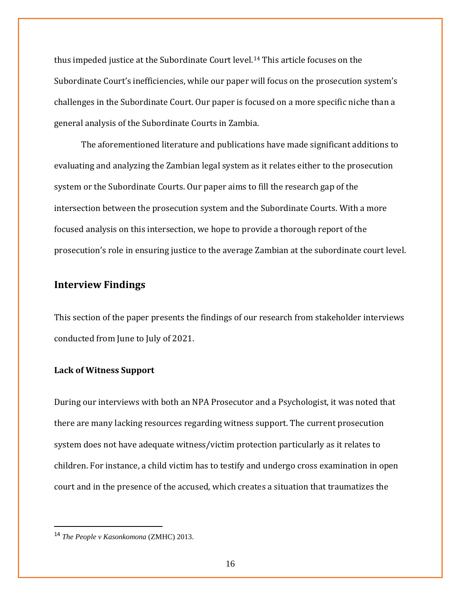thus impeded justice at the Subordinate Court level.[14](#page-15-0) This article focuses on the Subordinate Court's inefficiencies, while our paper will focus on the prosecution system's challenges in the Subordinate Court. Our paper is focused on a more specific niche than a general analysis of the Subordinate Courts in Zambia.

The aforementioned literature and publications have made significant additions to evaluating and analyzing the Zambian legal system as it relates either to the prosecution system or the Subordinate Courts. Our paper aims to fill the research gap of the intersection between the prosecution system and the Subordinate Courts. With a more focused analysis on this intersection, we hope to provide a thorough report of the prosecution's role in ensuring justice to the average Zambian at the subordinate court level.

## **Interview Findings**

This section of the paper presents the findings of our research from stakeholder interviews conducted from June to July of 2021.

#### **Lack of Witness Support**

During our interviews with both an NPA Prosecutor and a Psychologist, it was noted that there are many lacking resources regarding witness support. The current prosecution system does not have adequate witness/victim protection particularly as it relates to children. For instance, a child victim has to testify and undergo cross examination in open court and in the presence of the accused, which creates a situation that traumatizes the

<span id="page-15-0"></span><sup>14</sup> *The People v Kasonkomona* (ZMHC) 2013.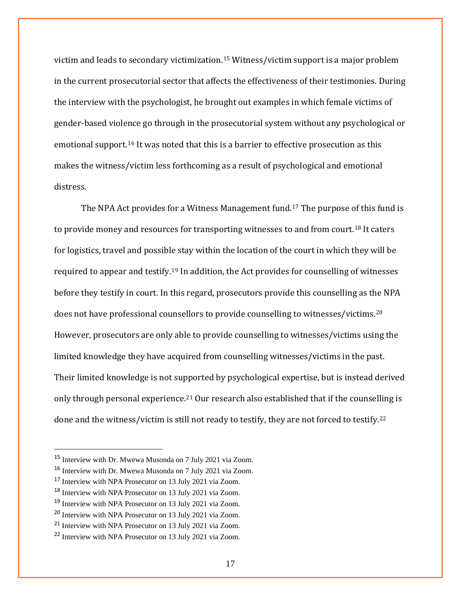victim and leads to secondary victimization.[15](#page-16-0) Witness/victim support is a major problem in the current prosecutorial sector that affects the effectiveness of their testimonies. During the interview with the psychologist, he brought out examples in which female victims of gender-based violence go through in the prosecutorial system without any psychological or emotional support.[16](#page-16-1) It was noted that this is a barrier to effective prosecution as this makes the witness/victim less forthcoming as a result of psychological and emotional distress.

The NPA Act provides for a Witness Management fund.[17](#page-16-2) The purpose of this fund is to provide money and resources for transporting witnesses to and from court.[18](#page-16-3) It caters for logistics, travel and possible stay within the location of the court in which they will be required to appear and testify.[19](#page-16-4) In addition, the Act provides for counselling of witnesses before they testify in court. In this regard, prosecutors provide this counselling as the NPA does not have professional counsellors to provide counselling to witnesses/victims.[20](#page-16-5) However, prosecutors are only able to provide counselling to witnesses/victims using the limited knowledge they have acquired from counselling witnesses/victims in the past. Their limited knowledge is not supported by psychological expertise, but is instead derived only through personal experience.<sup>[21](#page-16-6)</sup> Our research also established that if the counselling is done and the witness/victim is still not ready to testify, they are not forced to testify.<sup>[22](#page-16-7)</sup>

<span id="page-16-0"></span><sup>15</sup> Interview with Dr. Mwewa Musonda on 7 July 2021 via Zoom.

<span id="page-16-1"></span><sup>16</sup> Interview with Dr. Mwewa Musonda on 7 July 2021 via Zoom.

<span id="page-16-2"></span><sup>17</sup> Interview with NPA Prosecutor on 13 July 2021 via Zoom.

<span id="page-16-3"></span><sup>18</sup> Interview with NPA Prosecutor on 13 July 2021 via Zoom.

<span id="page-16-4"></span><sup>19</sup> Interview with NPA Prosecutor on 13 July 2021 via Zoom.

<span id="page-16-5"></span><sup>20</sup> Interview with NPA Prosecutor on 13 July 2021 via Zoom.

<span id="page-16-6"></span><sup>21</sup> Interview with NPA Prosecutor on 13 July 2021 via Zoom.

<span id="page-16-7"></span><sup>22</sup> Interview with NPA Prosecutor on 13 July 2021 via Zoom.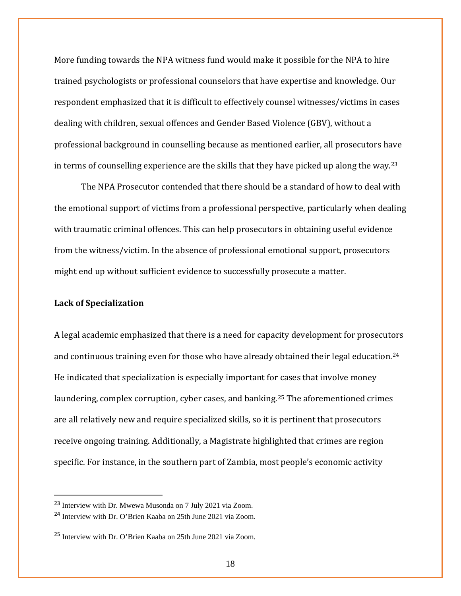More funding towards the NPA witness fund would make it possible for the NPA to hire trained psychologists or professional counselors that have expertise and knowledge. Our respondent emphasized that it is difficult to effectively counsel witnesses/victims in cases dealing with children, sexual offences and Gender Based Violence (GBV), without a professional background in counselling because as mentioned earlier, all prosecutors have in terms of counselling experience are the skills that they have picked up along the way.[23](#page-17-0)

The NPA Prosecutor contended that there should be a standard of how to deal with the emotional support of victims from a professional perspective, particularly when dealing with traumatic criminal offences. This can help prosecutors in obtaining useful evidence from the witness/victim. In the absence of professional emotional support, prosecutors might end up without sufficient evidence to successfully prosecute a matter.

#### **Lack of Specialization**

A legal academic emphasized that there is a need for capacity development for prosecutors and continuous training even for those who have already obtained their legal education.<sup>[24](#page-17-1)</sup> He indicated that specialization is especially important for cases that involve money laundering, complex corruption, cyber cases, and banking.[25](#page-17-2) The aforementioned crimes are all relatively new and require specialized skills, so it is pertinent that prosecutors receive ongoing training. Additionally, a Magistrate highlighted that crimes are region specific. For instance, in the southern part of Zambia, most people's economic activity

<span id="page-17-0"></span><sup>23</sup> Interview with Dr. Mwewa Musonda on 7 July 2021 via Zoom.

<span id="page-17-1"></span><sup>24</sup> Interview with Dr. O'Brien Kaaba on 25th June 2021 via Zoom.

<span id="page-17-2"></span><sup>25</sup> Interview with Dr. O'Brien Kaaba on 25th June 2021 via Zoom.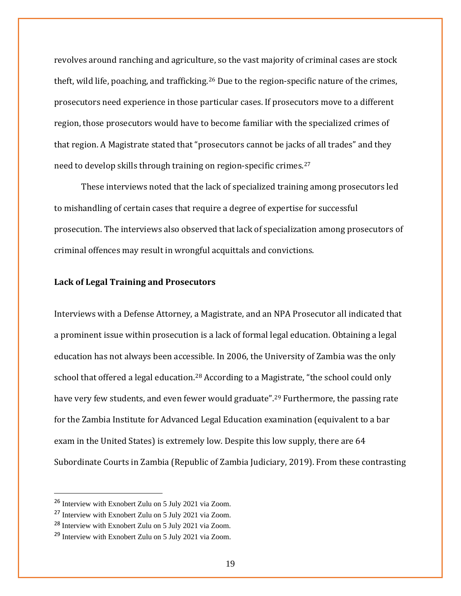revolves around ranching and agriculture, so the vast majority of criminal cases are stock theft, wild life, poaching, and trafficking.[26](#page-18-0) Due to the region-specific nature of the crimes, prosecutors need experience in those particular cases. If prosecutors move to a different region, those prosecutors would have to become familiar with the specialized crimes of that region. A Magistrate stated that "prosecutors cannot be jacks of all trades" and they need to develop skills through training on region-specific crimes.[27](#page-18-1)

These interviews noted that the lack of specialized training among prosecutors led to mishandling of certain cases that require a degree of expertise for successful prosecution. The interviews also observed that lack of specialization among prosecutors of criminal offences may result in wrongful acquittals and convictions.

#### **Lack of Legal Training and Prosecutors**

Interviews with a Defense Attorney, a Magistrate, and an NPA Prosecutor all indicated that a prominent issue within prosecution is a lack of formal legal education. Obtaining a legal education has not always been accessible. In 2006, the University of Zambia was the only school that offered a legal education.<sup>[28](#page-18-2)</sup> According to a Magistrate, "the school could only have very few students, and even fewer would graduate".<sup>[29](#page-18-3)</sup> Furthermore, the passing rate for the Zambia Institute for Advanced Legal Education examination (equivalent to a bar exam in the United States) is extremely low. Despite this low supply, there are 64 Subordinate Courts in Zambia (Republic of Zambia Judiciary, 2019). From these contrasting

<span id="page-18-0"></span><sup>26</sup> Interview with Exnobert Zulu on 5 July 2021 via Zoom.

<span id="page-18-1"></span><sup>27</sup> Interview with Exnobert Zulu on 5 July 2021 via Zoom.

<span id="page-18-2"></span><sup>28</sup> Interview with Exnobert Zulu on 5 July 2021 via Zoom.

<span id="page-18-3"></span><sup>29</sup> Interview with Exnobert Zulu on 5 July 2021 via Zoom.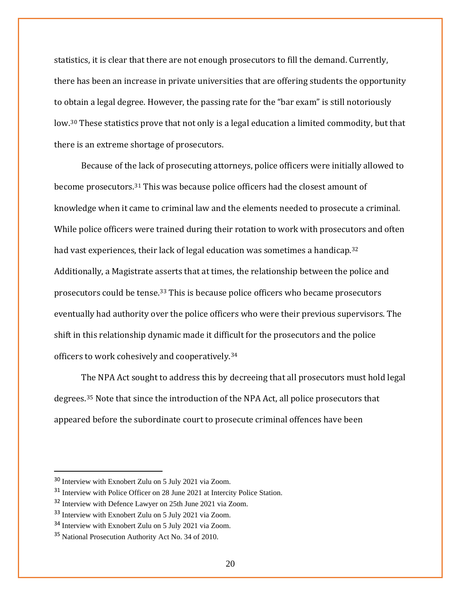statistics, it is clear that there are not enough prosecutors to fill the demand. Currently, there has been an increase in private universities that are offering students the opportunity to obtain a legal degree. However, the passing rate for the "bar exam" is still notoriously low.<sup>[30](#page-19-0)</sup> These statistics prove that not only is a legal education a limited commodity, but that there is an extreme shortage of prosecutors.

Because of the lack of prosecuting attorneys, police officers were initially allowed to become prosecutors.[31](#page-19-1) This was because police officers had the closest amount of knowledge when it came to criminal law and the elements needed to prosecute a criminal. While police officers were trained during their rotation to work with prosecutors and often had vast experiences, their lack of legal education was sometimes a handicap.<sup>[32](#page-19-2)</sup> Additionally, a Magistrate asserts that at times, the relationship between the police and prosecutors could be tense.[33](#page-19-3) This is because police officers who became prosecutors eventually had authority over the police officers who were their previous supervisors. The shift in this relationship dynamic made it difficult for the prosecutors and the police officers to work cohesively and cooperatively.[34](#page-19-4)

The NPA Act sought to address this by decreeing that all prosecutors must hold legal degrees.[35](#page-19-5) Note that since the introduction of the NPA Act, all police prosecutors that appeared before the subordinate court to prosecute criminal offences have been

<span id="page-19-0"></span><sup>30</sup> Interview with Exnobert Zulu on 5 July 2021 via Zoom.

<span id="page-19-1"></span><sup>31</sup> Interview with Police Officer on 28 June 2021 at Intercity Police Station.

<span id="page-19-2"></span><sup>&</sup>lt;sup>32</sup> Interview with Defence Lawyer on 25th June 2021 via Zoom.

<span id="page-19-3"></span><sup>33</sup> Interview with Exnobert Zulu on 5 July 2021 via Zoom.

<span id="page-19-4"></span><sup>34</sup> Interview with Exnobert Zulu on 5 July 2021 via Zoom.

<span id="page-19-5"></span><sup>35</sup> National Prosecution Authority Act No. 34 of 2010.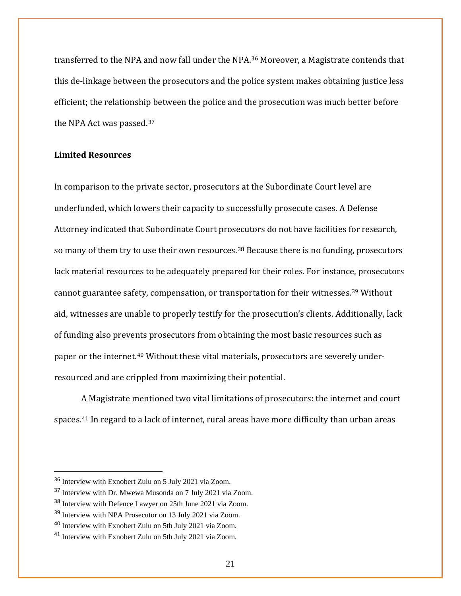transferred to the NPA and now fall under the NPA.[36](#page-20-0) Moreover, a Magistrate contends that this de-linkage between the prosecutors and the police system makes obtaining justice less efficient; the relationship between the police and the prosecution was much better before the NPA Act was passed.[37](#page-20-1)

## **Limited Resources**

In comparison to the private sector, prosecutors at the Subordinate Court level are underfunded, which lowers their capacity to successfully prosecute cases. A Defense Attorney indicated that Subordinate Court prosecutors do not have facilities for research, so many of them try to use their own resources.<sup>[38](#page-20-2)</sup> Because there is no funding, prosecutors lack material resources to be adequately prepared for their roles. For instance, prosecutors cannot guarantee safety, compensation, or transportation for their witnesses.[39](#page-20-3) Without aid, witnesses are unable to properly testify for the prosecution's clients. Additionally, lack of funding also prevents prosecutors from obtaining the most basic resources such as paper or the internet.[40](#page-20-4) Without these vital materials, prosecutors are severely underresourced and are crippled from maximizing their potential.

A Magistrate mentioned two vital limitations of prosecutors: the internet and court spaces.[41](#page-20-5) In regard to a lack of internet, rural areas have more difficulty than urban areas

<span id="page-20-0"></span><sup>36</sup> Interview with Exnobert Zulu on 5 July 2021 via Zoom.

<span id="page-20-1"></span><sup>37</sup> Interview with Dr. Mwewa Musonda on 7 July 2021 via Zoom.

<span id="page-20-2"></span><sup>&</sup>lt;sup>38</sup> Interview with Defence Lawyer on 25th June 2021 via Zoom.

<span id="page-20-3"></span><sup>39</sup> Interview with NPA Prosecutor on 13 July 2021 via Zoom.

<span id="page-20-4"></span><sup>40</sup> Interview with Exnobert Zulu on 5th July 2021 via Zoom.

<span id="page-20-5"></span><sup>41</sup> Interview with Exnobert Zulu on 5th July 2021 via Zoom.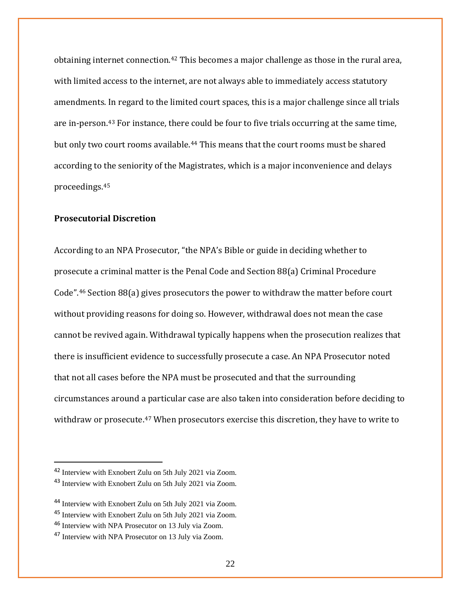obtaining internet connection.<sup>[42](#page-21-0)</sup> This becomes a major challenge as those in the rural area, with limited access to the internet, are not always able to immediately access statutory amendments. In regard to the limited court spaces, this is a major challenge since all trials are in-person.[43](#page-21-1) For instance, there could be four to five trials occurring at the same time, but only two court rooms available.<sup>[44](#page-21-2)</sup> This means that the court rooms must be shared according to the seniority of the Magistrates, which is a major inconvenience and delays proceedings.[45](#page-21-3)

## **Prosecutorial Discretion**

According to an NPA Prosecutor, "the NPA's Bible or guide in deciding whether to prosecute a criminal matter is the Penal Code and Section 88(a) Criminal Procedure Code". [46](#page-21-4) Section 88(a) gives prosecutors the power to withdraw the matter before court without providing reasons for doing so. However, withdrawal does not mean the case cannot be revived again. Withdrawal typically happens when the prosecution realizes that there is insufficient evidence to successfully prosecute a case. An NPA Prosecutor noted that not all cases before the NPA must be prosecuted and that the surrounding circumstances around a particular case are also taken into consideration before deciding to withdraw or prosecute.<sup>[47](#page-21-5)</sup> When prosecutors exercise this discretion, they have to write to

<span id="page-21-0"></span><sup>42</sup> Interview with Exnobert Zulu on 5th July 2021 via Zoom.

<span id="page-21-1"></span><sup>43</sup> Interview with Exnobert Zulu on 5th July 2021 via Zoom.

<span id="page-21-2"></span><sup>44</sup> Interview with Exnobert Zulu on 5th July 2021 via Zoom.

<span id="page-21-3"></span><sup>45</sup> Interview with Exnobert Zulu on 5th July 2021 via Zoom.

<span id="page-21-4"></span><sup>46</sup> Interview with NPA Prosecutor on 13 July via Zoom.

<span id="page-21-5"></span><sup>47</sup> Interview with NPA Prosecutor on 13 July via Zoom.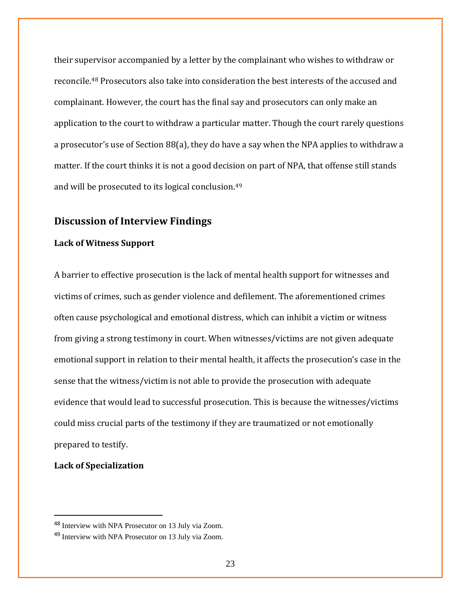their supervisor accompanied by a letter by the complainant who wishes to withdraw or reconcile.[48](#page-22-0) Prosecutors also take into consideration the best interests of the accused and complainant. However, the court has the final say and prosecutors can only make an application to the court to withdraw a particular matter. Though the court rarely questions a prosecutor's use of Section 88(a), they do have a say when the NPA applies to withdraw a matter. If the court thinks it is not a good decision on part of NPA, that offense still stands and will be prosecuted to its logical conclusion. [49](#page-22-1)

# **Discussion of Interview Findings**

#### **Lack of Witness Support**

A barrier to effective prosecution is the lack of mental health support for witnesses and victims of crimes, such as gender violence and defilement. The aforementioned crimes often cause psychological and emotional distress, which can inhibit a victim or witness from giving a strong testimony in court. When witnesses/victims are not given adequate emotional support in relation to their mental health, it affects the prosecution's case in the sense that the witness/victim is not able to provide the prosecution with adequate evidence that would lead to successful prosecution. This is because the witnesses/victims could miss crucial parts of the testimony if they are traumatized or not emotionally prepared to testify.

### **Lack of Specialization**

<span id="page-22-0"></span><sup>48</sup> Interview with NPA Prosecutor on 13 July via Zoom.

<span id="page-22-1"></span><sup>49</sup> Interview with NPA Prosecutor on 13 July via Zoom.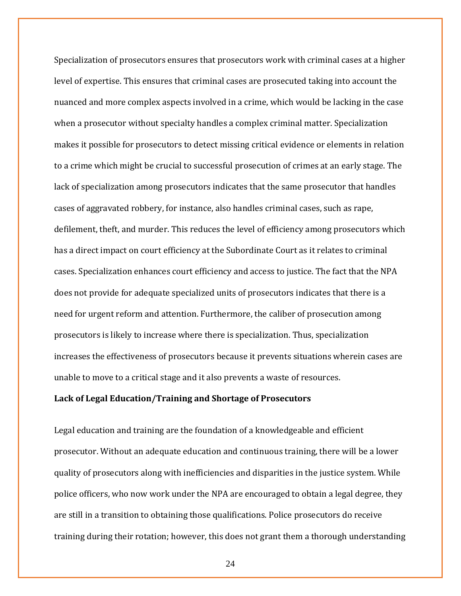Specialization of prosecutors ensures that prosecutors work with criminal cases at a higher level of expertise. This ensures that criminal cases are prosecuted taking into account the nuanced and more complex aspects involved in a crime, which would be lacking in the case when a prosecutor without specialty handles a complex criminal matter. Specialization makes it possible for prosecutors to detect missing critical evidence or elements in relation to a crime which might be crucial to successful prosecution of crimes at an early stage. The lack of specialization among prosecutors indicates that the same prosecutor that handles cases of aggravated robbery, for instance, also handles criminal cases, such as rape, defilement, theft, and murder. This reduces the level of efficiency among prosecutors which has a direct impact on court efficiency at the Subordinate Court as it relates to criminal cases. Specialization enhances court efficiency and access to justice. The fact that the NPA does not provide for adequate specialized units of prosecutors indicates that there is a need for urgent reform and attention. Furthermore, the caliber of prosecution among prosecutors is likely to increase where there is specialization. Thus, specialization increases the effectiveness of prosecutors because it prevents situations wherein cases are unable to move to a critical stage and it also prevents a waste of resources.

#### **Lack of Legal Education/Training and Shortage of Prosecutors**

Legal education and training are the foundation of a knowledgeable and efficient prosecutor. Without an adequate education and continuous training, there will be a lower quality of prosecutors along with inefficiencies and disparities in the justice system. While police officers, who now work under the NPA are encouraged to obtain a legal degree, they are still in a transition to obtaining those qualifications. Police prosecutors do receive training during their rotation; however, this does not grant them a thorough understanding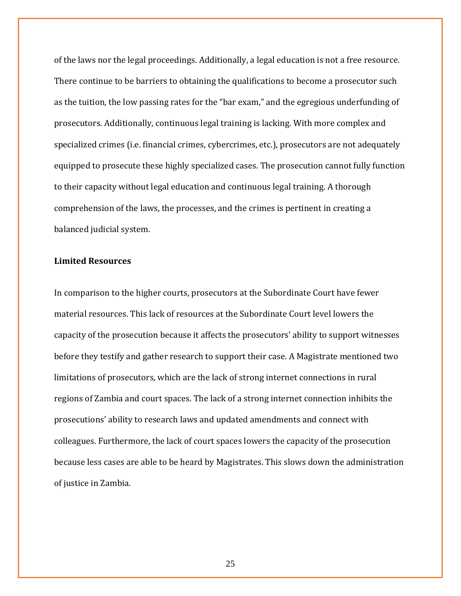of the laws nor the legal proceedings. Additionally, a legal education is not a free resource. There continue to be barriers to obtaining the qualifications to become a prosecutor such as the tuition, the low passing rates for the "bar exam," and the egregious underfunding of prosecutors. Additionally, continuous legal training is lacking. With more complex and specialized crimes (i.e. financial crimes, cybercrimes, etc.), prosecutors are not adequately equipped to prosecute these highly specialized cases. The prosecution cannot fully function to their capacity without legal education and continuous legal training. A thorough comprehension of the laws, the processes, and the crimes is pertinent in creating a balanced judicial system.

## **Limited Resources**

In comparison to the higher courts, prosecutors at the Subordinate Court have fewer material resources. This lack of resources at the Subordinate Court level lowers the capacity of the prosecution because it affects the prosecutors' ability to support witnesses before they testify and gather research to support their case. A Magistrate mentioned two limitations of prosecutors, which are the lack of strong internet connections in rural regions of Zambia and court spaces. The lack of a strong internet connection inhibits the prosecutions' ability to research laws and updated amendments and connect with colleagues. Furthermore, the lack of court spaces lowers the capacity of the prosecution because less cases are able to be heard by Magistrates. This slows down the administration of justice in Zambia.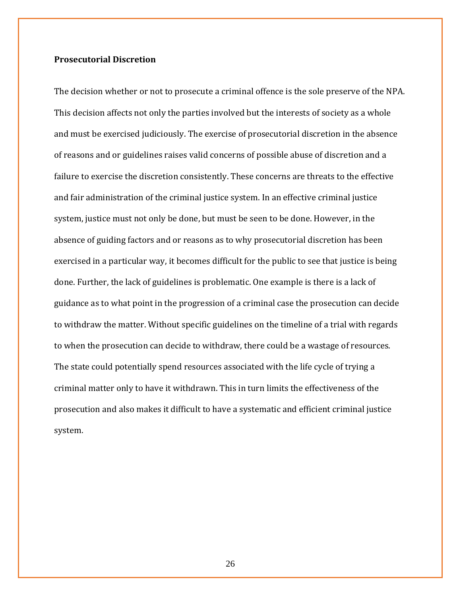## **Prosecutorial Discretion**

The decision whether or not to prosecute a criminal offence is the sole preserve of the NPA. This decision affects not only the parties involved but the interests of society as a whole and must be exercised judiciously. The exercise of prosecutorial discretion in the absence of reasons and or guidelines raises valid concerns of possible abuse of discretion and a failure to exercise the discretion consistently. These concerns are threats to the effective and fair administration of the criminal justice system. In an effective criminal justice system, justice must not only be done, but must be seen to be done. However, in the absence of guiding factors and or reasons as to why prosecutorial discretion has been exercised in a particular way, it becomes difficult for the public to see that justice is being done. Further, the lack of guidelines is problematic. One example is there is a lack of guidance as to what point in the progression of a criminal case the prosecution can decide to withdraw the matter. Without specific guidelines on the timeline of a trial with regards to when the prosecution can decide to withdraw, there could be a wastage of resources. The state could potentially spend resources associated with the life cycle of trying a criminal matter only to have it withdrawn. This in turn limits the effectiveness of the prosecution and also makes it difficult to have a systematic and efficient criminal justice system.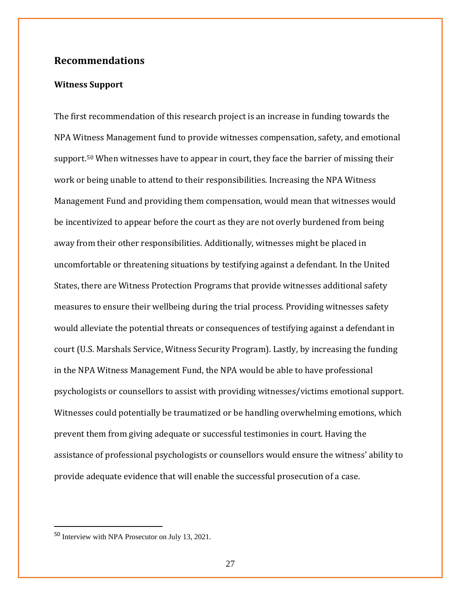# **Recommendations**

## **Witness Support**

The first recommendation of this research project is an increase in funding towards the NPA Witness Management fund to provide witnesses compensation, safety, and emotional support.<sup>[50](#page-26-0)</sup> When witnesses have to appear in court, they face the barrier of missing their work or being unable to attend to their responsibilities. Increasing the NPA Witness Management Fund and providing them compensation, would mean that witnesses would be incentivized to appear before the court as they are not overly burdened from being away from their other responsibilities. Additionally, witnesses might be placed in uncomfortable or threatening situations by testifying against a defendant. In the United States, there are Witness Protection Programs that provide witnesses additional safety measures to ensure their wellbeing during the trial process. Providing witnesses safety would alleviate the potential threats or consequences of testifying against a defendant in court (U.S. Marshals Service, Witness Security Program). Lastly, by increasing the funding in the NPA Witness Management Fund, the NPA would be able to have professional psychologists or counsellors to assist with providing witnesses/victims emotional support. Witnesses could potentially be traumatized or be handling overwhelming emotions, which prevent them from giving adequate or successful testimonies in court. Having the assistance of professional psychologists or counsellors would ensure the witness' ability to provide adequate evidence that will enable the successful prosecution of a case.

<span id="page-26-0"></span><sup>50</sup> Interview with NPA Prosecutor on July 13, 2021.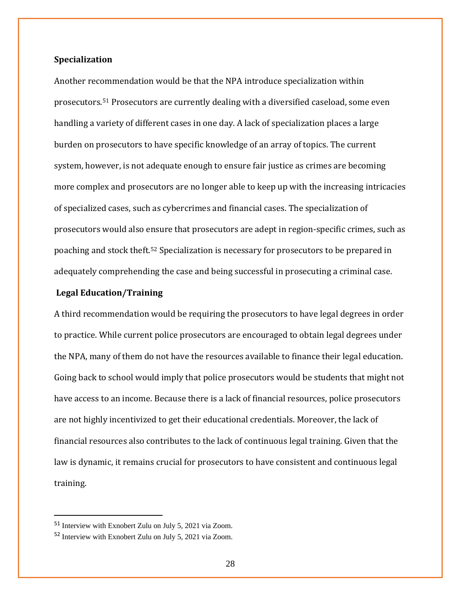#### **Specialization**

Another recommendation would be that the NPA introduce specialization within prosecutors.[51](#page-27-0) Prosecutors are currently dealing with a diversified caseload, some even handling a variety of different cases in one day. A lack of specialization places a large burden on prosecutors to have specific knowledge of an array of topics. The current system, however, is not adequate enough to ensure fair justice as crimes are becoming more complex and prosecutors are no longer able to keep up with the increasing intricacies of specialized cases, such as cybercrimes and financial cases. The specialization of prosecutors would also ensure that prosecutors are adept in region-specific crimes, such as poaching and stock theft.[52](#page-27-1) Specialization is necessary for prosecutors to be prepared in adequately comprehending the case and being successful in prosecuting a criminal case.

#### **Legal Education/Training**

A third recommendation would be requiring the prosecutors to have legal degrees in order to practice. While current police prosecutors are encouraged to obtain legal degrees under the NPA, many of them do not have the resources available to finance their legal education. Going back to school would imply that police prosecutors would be students that might not have access to an income. Because there is a lack of financial resources, police prosecutors are not highly incentivized to get their educational credentials. Moreover, the lack of financial resources also contributes to the lack of continuous legal training. Given that the law is dynamic, it remains crucial for prosecutors to have consistent and continuous legal training.

<span id="page-27-0"></span><sup>51</sup> Interview with Exnobert Zulu on July 5, 2021 via Zoom.

<span id="page-27-1"></span><sup>52</sup> Interview with Exnobert Zulu on July 5, 2021 via Zoom.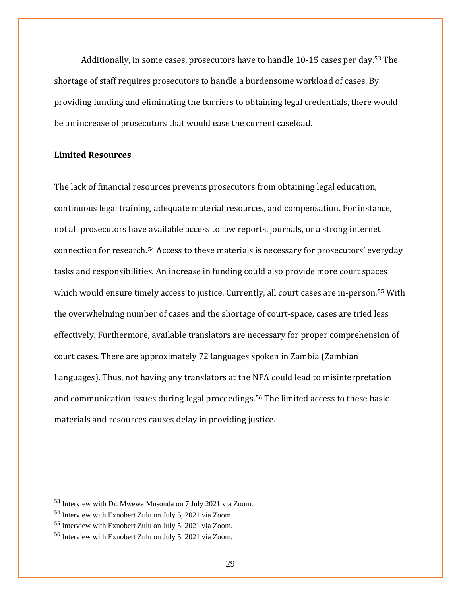Additionally, in some cases, prosecutors have to handle 10-15 cases per day.[53](#page-28-0) The shortage of staff requires prosecutors to handle a burdensome workload of cases. By providing funding and eliminating the barriers to obtaining legal credentials, there would be an increase of prosecutors that would ease the current caseload.

## **Limited Resources**

The lack of financial resources prevents prosecutors from obtaining legal education, continuous legal training, adequate material resources, and compensation. For instance, not all prosecutors have available access to law reports, journals, or a strong internet connection for research.[54](#page-28-1) Access to these materials is necessary for prosecutors' everyday tasks and responsibilities. An increase in funding could also provide more court spaces which would ensure timely access to justice. Currently, all court cases are in-person.<sup>[55](#page-28-2)</sup> With the overwhelming number of cases and the shortage of court-space, cases are tried less effectively. Furthermore, available translators are necessary for proper comprehension of court cases. There are approximately 72 languages spoken in Zambia (Zambian Languages). Thus, not having any translators at the NPA could lead to misinterpretation and communication issues during legal proceedings.[56](#page-28-3) The limited access to these basic materials and resources causes delay in providing justice.

<span id="page-28-0"></span><sup>53</sup> Interview with Dr. Mwewa Musonda on 7 July 2021 via Zoom.

<span id="page-28-1"></span><sup>54</sup> Interview with Exnobert Zulu on July 5, 2021 via Zoom.

<span id="page-28-2"></span><sup>55</sup> Interview with Exnobert Zulu on July 5, 2021 via Zoom.

<span id="page-28-3"></span><sup>56</sup> Interview with Exnobert Zulu on July 5, 2021 via Zoom.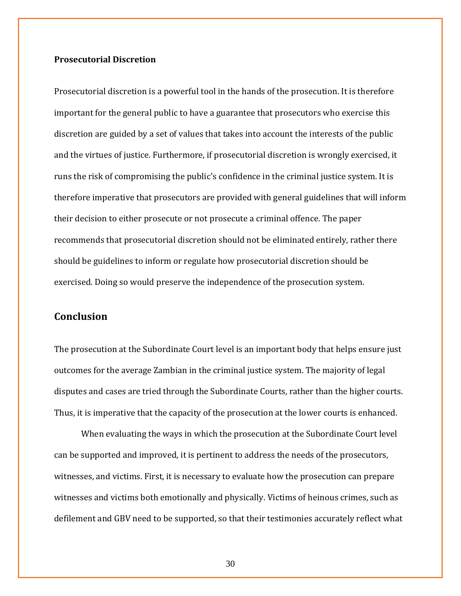## **Prosecutorial Discretion**

Prosecutorial discretion is a powerful tool in the hands of the prosecution. It is therefore important for the general public to have a guarantee that prosecutors who exercise this discretion are guided by a set of values that takes into account the interests of the public and the virtues of justice. Furthermore, if prosecutorial discretion is wrongly exercised, it runs the risk of compromising the public's confidence in the criminal justice system. It is therefore imperative that prosecutors are provided with general guidelines that will inform their decision to either prosecute or not prosecute a criminal offence. The paper recommends that prosecutorial discretion should not be eliminated entirely, rather there should be guidelines to inform or regulate how prosecutorial discretion should be exercised. Doing so would preserve the independence of the prosecution system.

# **Conclusion**

The prosecution at the Subordinate Court level is an important body that helps ensure just outcomes for the average Zambian in the criminal justice system. The majority of legal disputes and cases are tried through the Subordinate Courts, rather than the higher courts. Thus, it is imperative that the capacity of the prosecution at the lower courts is enhanced.

When evaluating the ways in which the prosecution at the Subordinate Court level can be supported and improved, it is pertinent to address the needs of the prosecutors, witnesses, and victims. First, it is necessary to evaluate how the prosecution can prepare witnesses and victims both emotionally and physically. Victims of heinous crimes, such as defilement and GBV need to be supported, so that their testimonies accurately reflect what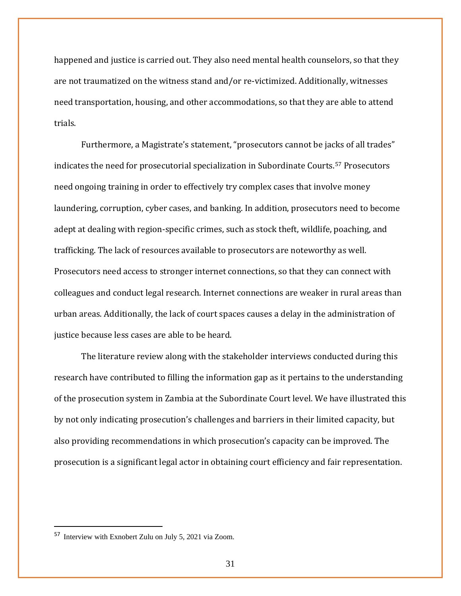happened and justice is carried out. They also need mental health counselors, so that they are not traumatized on the witness stand and/or re-victimized. Additionally, witnesses need transportation, housing, and other accommodations, so that they are able to attend trials.

Furthermore, a Magistrate's statement, "prosecutors cannot be jacks of all trades" indicates the need for prosecutorial specialization in Subordinate Courts.[57](#page-30-0) Prosecutors need ongoing training in order to effectively try complex cases that involve money laundering, corruption, cyber cases, and banking. In addition, prosecutors need to become adept at dealing with region-specific crimes, such as stock theft, wildlife, poaching, and trafficking. The lack of resources available to prosecutors are noteworthy as well. Prosecutors need access to stronger internet connections, so that they can connect with colleagues and conduct legal research. Internet connections are weaker in rural areas than urban areas. Additionally, the lack of court spaces causes a delay in the administration of justice because less cases are able to be heard.

The literature review along with the stakeholder interviews conducted during this research have contributed to filling the information gap as it pertains to the understanding of the prosecution system in Zambia at the Subordinate Court level. We have illustrated this by not only indicating prosecution's challenges and barriers in their limited capacity, but also providing recommendations in which prosecution's capacity can be improved. The prosecution is a significant legal actor in obtaining court efficiency and fair representation.

<span id="page-30-0"></span><sup>57</sup> Interview with Exnobert Zulu on July 5, 2021 via Zoom.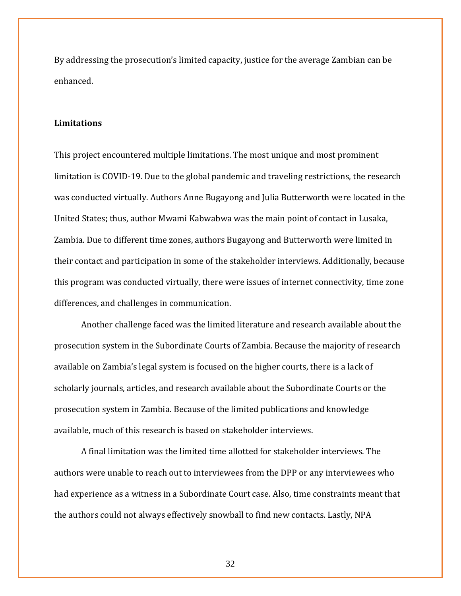By addressing the prosecution's limited capacity, justice for the average Zambian can be enhanced.

#### **Limitations**

This project encountered multiple limitations. The most unique and most prominent limitation is COVID-19. Due to the global pandemic and traveling restrictions, the research was conducted virtually. Authors Anne Bugayong and Julia Butterworth were located in the United States; thus, author Mwami Kabwabwa was the main point of contact in Lusaka, Zambia. Due to different time zones, authors Bugayong and Butterworth were limited in their contact and participation in some of the stakeholder interviews. Additionally, because this program was conducted virtually, there were issues of internet connectivity, time zone differences, and challenges in communication.

Another challenge faced was the limited literature and research available about the prosecution system in the Subordinate Courts of Zambia. Because the majority of research available on Zambia's legal system is focused on the higher courts, there is a lack of scholarly journals, articles, and research available about the Subordinate Courts or the prosecution system in Zambia. Because of the limited publications and knowledge available, much of this research is based on stakeholder interviews.

A final limitation was the limited time allotted for stakeholder interviews. The authors were unable to reach out to interviewees from the DPP or any interviewees who had experience as a witness in a Subordinate Court case. Also, time constraints meant that the authors could not always effectively snowball to find new contacts. Lastly, NPA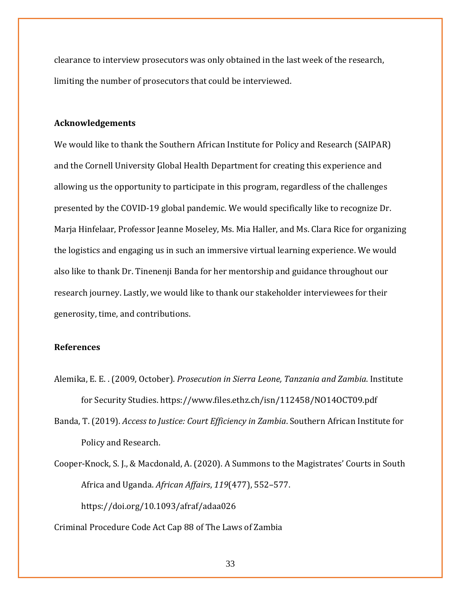clearance to interview prosecutors was only obtained in the last week of the research, limiting the number of prosecutors that could be interviewed.

#### **Acknowledgements**

We would like to thank the Southern African Institute for Policy and Research (SAIPAR) and the Cornell University Global Health Department for creating this experience and allowing us the opportunity to participate in this program, regardless of the challenges presented by the COVID-19 global pandemic. We would specifically like to recognize Dr. Marja Hinfelaar, Professor Jeanne Moseley, Ms. Mia Haller, and Ms. Clara Rice for organizing the logistics and engaging us in such an immersive virtual learning experience. We would also like to thank Dr. Tinenenji Banda for her mentorship and guidance throughout our research journey. Lastly, we would like to thank our stakeholder interviewees for their generosity, time, and contributions.

## **References**

- Alemika, E. E. . (2009, October). *Prosecution in Sierra Leone, Tanzania and Zambia*. Institute for Security Studies. https://www.files.ethz.ch/isn/112458/NO14OCT09.pdf
- Banda, T. (2019). *Access to Justice: Court Efficiency in Zambia*. Southern African Institute for Policy and Research.
- Cooper-Knock, S. J., & Macdonald, A. (2020). A Summons to the Magistrates' Courts in South Africa and Uganda. *African Affairs*, *119*(477), 552–577. https://doi.org/10.1093/afraf/adaa026
- Criminal Procedure Code Act Cap 88 of The Laws of Zambia